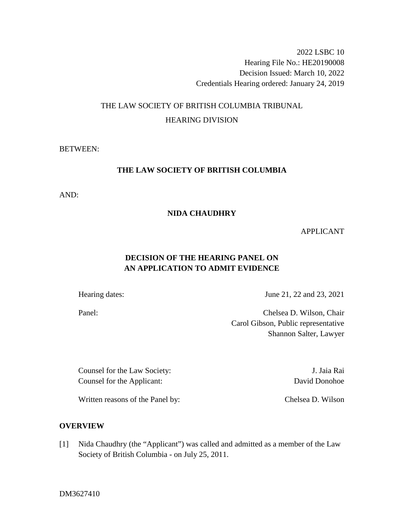2022 LSBC 10 Hearing File No.: HE20190008 Decision Issued: March 10, 2022 Credentials Hearing ordered: January 24, 2019

# THE LAW SOCIETY OF BRITISH COLUMBIA TRIBUNAL HEARING DIVISION

BETWEEN:

# **THE LAW SOCIETY OF BRITISH COLUMBIA**

AND:

## **NIDA CHAUDHRY**

### APPLICANT

# **DECISION OF THE HEARING PANEL ON AN APPLICATION TO ADMIT EVIDENCE**

Hearing dates: June 21, 22 and 23, 2021

Panel: Chelsea D. Wilson, Chair Carol Gibson, Public representative Shannon Salter, Lawyer

Counsel for the Law Society: J. Jaia Rai Counsel for the Applicant: David Donohoe

Written reasons of the Panel by: Chelsea D. Wilson

# **OVERVIEW**

[1] Nida Chaudhry (the "Applicant") was called and admitted as a member of the Law Society of British Columbia - on July 25, 2011.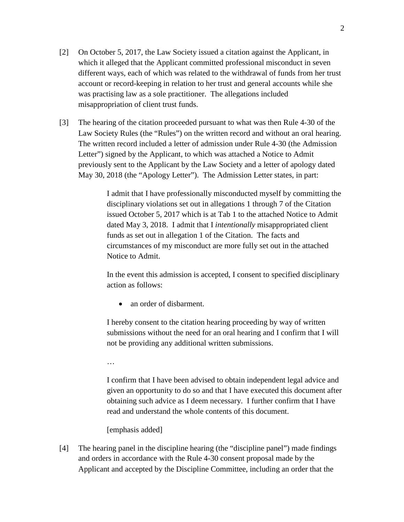- [2] On October 5, 2017, the Law Society issued a citation against the Applicant, in which it alleged that the Applicant committed professional misconduct in seven different ways, each of which was related to the withdrawal of funds from her trust account or record-keeping in relation to her trust and general accounts while she was practising law as a sole practitioner. The allegations included misappropriation of client trust funds.
- [3] The hearing of the citation proceeded pursuant to what was then Rule 4-30 of the Law Society Rules (the "Rules") on the written record and without an oral hearing. The written record included a letter of admission under Rule 4-30 (the Admission Letter") signed by the Applicant, to which was attached a Notice to Admit previously sent to the Applicant by the Law Society and a letter of apology dated May 30, 2018 (the "Apology Letter"). The Admission Letter states, in part:

I admit that I have professionally misconducted myself by committing the disciplinary violations set out in allegations 1 through 7 of the Citation issued October 5, 2017 which is at Tab 1 to the attached Notice to Admit dated May 3, 2018. I admit that I *intentionally* misappropriated client funds as set out in allegation 1 of the Citation. The facts and circumstances of my misconduct are more fully set out in the attached Notice to Admit.

In the event this admission is accepted, I consent to specified disciplinary action as follows:

• an order of disbarment.

I hereby consent to the citation hearing proceeding by way of written submissions without the need for an oral hearing and I confirm that I will not be providing any additional written submissions.

…

I confirm that I have been advised to obtain independent legal advice and given an opportunity to do so and that I have executed this document after obtaining such advice as I deem necessary. I further confirm that I have read and understand the whole contents of this document.

[emphasis added]

[4] The hearing panel in the discipline hearing (the "discipline panel") made findings and orders in accordance with the Rule 4-30 consent proposal made by the Applicant and accepted by the Discipline Committee, including an order that the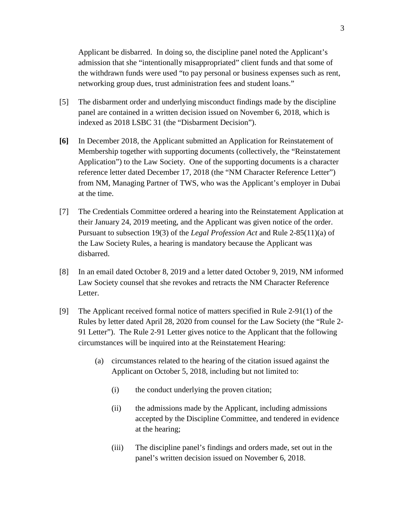Applicant be disbarred. In doing so, the discipline panel noted the Applicant's admission that she "intentionally misappropriated" client funds and that some of the withdrawn funds were used "to pay personal or business expenses such as rent, networking group dues, trust administration fees and student loans."

- [5] The disbarment order and underlying misconduct findings made by the discipline panel are contained in a written decision issued on November 6, 2018, which is indexed as 2018 LSBC 31 (the "Disbarment Decision").
- **[6]** In December 2018, the Applicant submitted an Application for Reinstatement of Membership together with supporting documents (collectively, the "Reinstatement Application") to the Law Society. One of the supporting documents is a character reference letter dated December 17, 2018 (the "NM Character Reference Letter") from NM, Managing Partner of TWS, who was the Applicant's employer in Dubai at the time.
- [7] The Credentials Committee ordered a hearing into the Reinstatement Application at their January 24, 2019 meeting, and the Applicant was given notice of the order. Pursuant to subsection 19(3) of the *Legal Profession Act* and Rule 2-85(11)(a) of the Law Society Rules, a hearing is mandatory because the Applicant was disbarred.
- [8] In an email dated October 8, 2019 and a letter dated October 9, 2019, NM informed Law Society counsel that she revokes and retracts the NM Character Reference Letter.
- [9] The Applicant received formal notice of matters specified in Rule 2-91(1) of the Rules by letter dated April 28, 2020 from counsel for the Law Society (the "Rule 2- 91 Letter"). The Rule 2-91 Letter gives notice to the Applicant that the following circumstances will be inquired into at the Reinstatement Hearing:
	- (a) circumstances related to the hearing of the citation issued against the Applicant on October 5, 2018, including but not limited to:
		- (i) the conduct underlying the proven citation;
		- (ii) the admissions made by the Applicant, including admissions accepted by the Discipline Committee, and tendered in evidence at the hearing;
		- (iii) The discipline panel's findings and orders made, set out in the panel's written decision issued on November 6, 2018.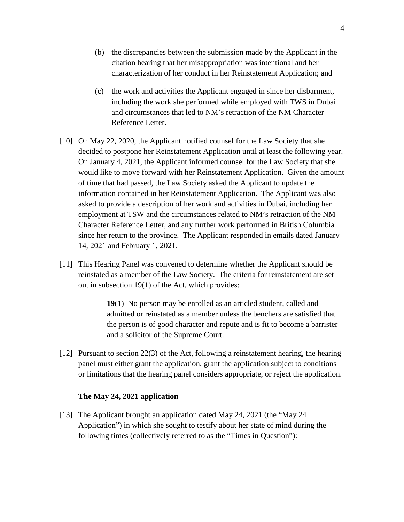- (b) the discrepancies between the submission made by the Applicant in the citation hearing that her misappropriation was intentional and her characterization of her conduct in her Reinstatement Application; and
- (c) the work and activities the Applicant engaged in since her disbarment, including the work she performed while employed with TWS in Dubai and circumstances that led to NM's retraction of the NM Character Reference Letter.
- [10] On May 22, 2020, the Applicant notified counsel for the Law Society that she decided to postpone her Reinstatement Application until at least the following year. On January 4, 2021, the Applicant informed counsel for the Law Society that she would like to move forward with her Reinstatement Application. Given the amount of time that had passed, the Law Society asked the Applicant to update the information contained in her Reinstatement Application. The Applicant was also asked to provide a description of her work and activities in Dubai, including her employment at TSW and the circumstances related to NM's retraction of the NM Character Reference Letter, and any further work performed in British Columbia since her return to the province. The Applicant responded in emails dated January 14, 2021 and February 1, 2021.
- [11] This Hearing Panel was convened to determine whether the Applicant should be reinstated as a member of the Law Society. The criteria for reinstatement are set out in subsection 19(1) of the Act, which provides:

**19**(1) No person may be enrolled as an articled student, called and admitted or reinstated as a member unless the benchers are satisfied that the person is of good character and repute and is fit to become a barrister and a solicitor of the Supreme Court.

[12] Pursuant to section 22(3) of the Act, following a reinstatement hearing, the hearing panel must either grant the application, grant the application subject to conditions or limitations that the hearing panel considers appropriate, or reject the application.

### **The May 24, 2021 application**

[13] The Applicant brought an application dated May 24, 2021 (the "May 24 Application") in which she sought to testify about her state of mind during the following times (collectively referred to as the "Times in Question"):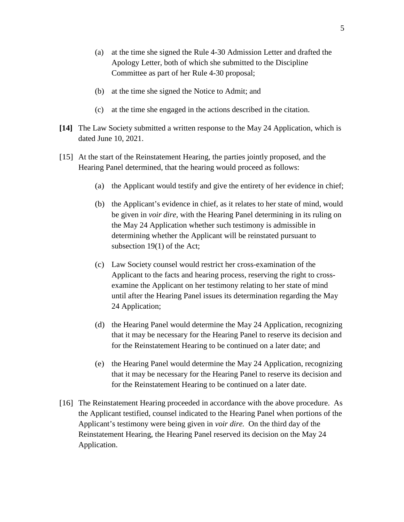- (a) at the time she signed the Rule 4-30 Admission Letter and drafted the Apology Letter, both of which she submitted to the Discipline Committee as part of her Rule 4-30 proposal;
- (b) at the time she signed the Notice to Admit; and
- (c) at the time she engaged in the actions described in the citation.
- **[14]** The Law Society submitted a written response to the May 24 Application, which is dated June 10, 2021.
- [15] At the start of the Reinstatement Hearing, the parties jointly proposed, and the Hearing Panel determined, that the hearing would proceed as follows:
	- (a) the Applicant would testify and give the entirety of her evidence in chief;
	- (b) the Applicant's evidence in chief, as it relates to her state of mind, would be given in *voir dire,* with the Hearing Panel determining in its ruling on the May 24 Application whether such testimony is admissible in determining whether the Applicant will be reinstated pursuant to subsection 19(1) of the Act;
	- (c) Law Society counsel would restrict her cross-examination of the Applicant to the facts and hearing process, reserving the right to crossexamine the Applicant on her testimony relating to her state of mind until after the Hearing Panel issues its determination regarding the May 24 Application;
	- (d) the Hearing Panel would determine the May 24 Application, recognizing that it may be necessary for the Hearing Panel to reserve its decision and for the Reinstatement Hearing to be continued on a later date; and
	- (e) the Hearing Panel would determine the May 24 Application, recognizing that it may be necessary for the Hearing Panel to reserve its decision and for the Reinstatement Hearing to be continued on a later date.
- [16] The Reinstatement Hearing proceeded in accordance with the above procedure. As the Applicant testified, counsel indicated to the Hearing Panel when portions of the Applicant's testimony were being given in *voir dire.* On the third day of the Reinstatement Hearing, the Hearing Panel reserved its decision on the May 24 Application.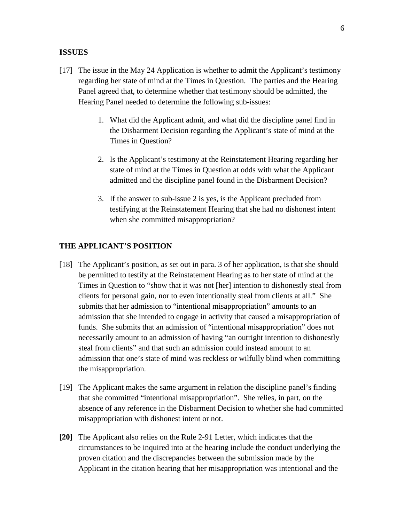### **ISSUES**

- [17] The issue in the May 24 Application is whether to admit the Applicant's testimony regarding her state of mind at the Times in Question. The parties and the Hearing Panel agreed that, to determine whether that testimony should be admitted, the Hearing Panel needed to determine the following sub-issues:
	- 1. What did the Applicant admit, and what did the discipline panel find in the Disbarment Decision regarding the Applicant's state of mind at the Times in Question?
	- 2. Is the Applicant's testimony at the Reinstatement Hearing regarding her state of mind at the Times in Question at odds with what the Applicant admitted and the discipline panel found in the Disbarment Decision?
	- 3. If the answer to sub-issue 2 is yes, is the Applicant precluded from testifying at the Reinstatement Hearing that she had no dishonest intent when she committed misappropriation?

### **THE APPLICANT'S POSITION**

- [18] The Applicant's position, as set out in para. 3 of her application, is that she should be permitted to testify at the Reinstatement Hearing as to her state of mind at the Times in Question to "show that it was not [her] intention to dishonestly steal from clients for personal gain, nor to even intentionally steal from clients at all." She submits that her admission to "intentional misappropriation" amounts to an admission that she intended to engage in activity that caused a misappropriation of funds. She submits that an admission of "intentional misappropriation" does not necessarily amount to an admission of having "an outright intention to dishonestly steal from clients" and that such an admission could instead amount to an admission that one's state of mind was reckless or wilfully blind when committing the misappropriation.
- [19] The Applicant makes the same argument in relation the discipline panel's finding that she committed "intentional misappropriation". She relies, in part, on the absence of any reference in the Disbarment Decision to whether she had committed misappropriation with dishonest intent or not.
- **[20]** The Applicant also relies on the Rule 2-91 Letter, which indicates that the circumstances to be inquired into at the hearing include the conduct underlying the proven citation and the discrepancies between the submission made by the Applicant in the citation hearing that her misappropriation was intentional and the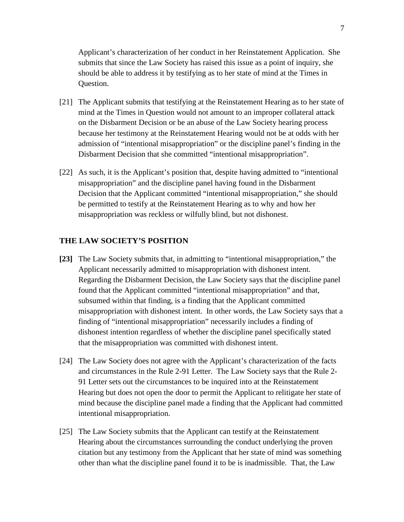Applicant's characterization of her conduct in her Reinstatement Application. She submits that since the Law Society has raised this issue as a point of inquiry, she should be able to address it by testifying as to her state of mind at the Times in Question.

- [21] The Applicant submits that testifying at the Reinstatement Hearing as to her state of mind at the Times in Question would not amount to an improper collateral attack on the Disbarment Decision or be an abuse of the Law Society hearing process because her testimony at the Reinstatement Hearing would not be at odds with her admission of "intentional misappropriation" or the discipline panel's finding in the Disbarment Decision that she committed "intentional misappropriation".
- [22] As such, it is the Applicant's position that, despite having admitted to "intentional misappropriation" and the discipline panel having found in the Disbarment Decision that the Applicant committed "intentional misappropriation," she should be permitted to testify at the Reinstatement Hearing as to why and how her misappropriation was reckless or wilfully blind, but not dishonest.

## **THE LAW SOCIETY'S POSITION**

- **[23]** The Law Society submits that, in admitting to "intentional misappropriation," the Applicant necessarily admitted to misappropriation with dishonest intent. Regarding the Disbarment Decision, the Law Society says that the discipline panel found that the Applicant committed "intentional misappropriation" and that, subsumed within that finding, is a finding that the Applicant committed misappropriation with dishonest intent. In other words, the Law Society says that a finding of "intentional misappropriation" necessarily includes a finding of dishonest intention regardless of whether the discipline panel specifically stated that the misappropriation was committed with dishonest intent.
- [24] The Law Society does not agree with the Applicant's characterization of the facts and circumstances in the Rule 2-91 Letter. The Law Society says that the Rule 2- 91 Letter sets out the circumstances to be inquired into at the Reinstatement Hearing but does not open the door to permit the Applicant to relitigate her state of mind because the discipline panel made a finding that the Applicant had committed intentional misappropriation.
- [25] The Law Society submits that the Applicant can testify at the Reinstatement Hearing about the circumstances surrounding the conduct underlying the proven citation but any testimony from the Applicant that her state of mind was something other than what the discipline panel found it to be is inadmissible. That, the Law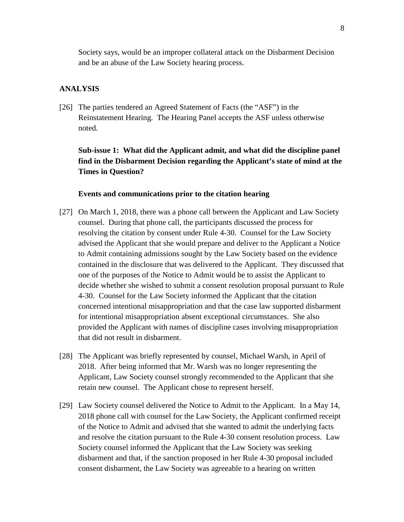Society says, would be an improper collateral attack on the Disbarment Decision and be an abuse of the Law Society hearing process.

#### **ANALYSIS**

[26] The parties tendered an Agreed Statement of Facts (the "ASF") in the Reinstatement Hearing. The Hearing Panel accepts the ASF unless otherwise noted.

# **Sub-issue 1: What did the Applicant admit, and what did the discipline panel find in the Disbarment Decision regarding the Applicant's state of mind at the Times in Question?**

### **Events and communications prior to the citation hearing**

- [27] On March 1, 2018, there was a phone call between the Applicant and Law Society counsel. During that phone call, the participants discussed the process for resolving the citation by consent under Rule 4-30. Counsel for the Law Society advised the Applicant that she would prepare and deliver to the Applicant a Notice to Admit containing admissions sought by the Law Society based on the evidence contained in the disclosure that was delivered to the Applicant. They discussed that one of the purposes of the Notice to Admit would be to assist the Applicant to decide whether she wished to submit a consent resolution proposal pursuant to Rule 4-30. Counsel for the Law Society informed the Applicant that the citation concerned intentional misappropriation and that the case law supported disbarment for intentional misappropriation absent exceptional circumstances. She also provided the Applicant with names of discipline cases involving misappropriation that did not result in disbarment.
- [28] The Applicant was briefly represented by counsel, Michael Warsh, in April of 2018. After being informed that Mr. Warsh was no longer representing the Applicant, Law Society counsel strongly recommended to the Applicant that she retain new counsel. The Applicant chose to represent herself.
- [29] Law Society counsel delivered the Notice to Admit to the Applicant. In a May 14, 2018 phone call with counsel for the Law Society, the Applicant confirmed receipt of the Notice to Admit and advised that she wanted to admit the underlying facts and resolve the citation pursuant to the Rule 4-30 consent resolution process. Law Society counsel informed the Applicant that the Law Society was seeking disbarment and that, if the sanction proposed in her Rule 4-30 proposal included consent disbarment, the Law Society was agreeable to a hearing on written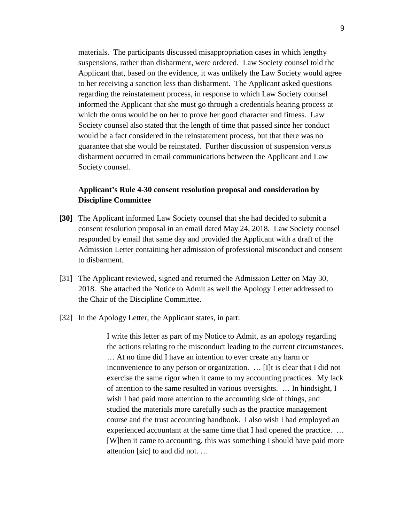materials. The participants discussed misappropriation cases in which lengthy suspensions, rather than disbarment, were ordered. Law Society counsel told the Applicant that, based on the evidence, it was unlikely the Law Society would agree to her receiving a sanction less than disbarment. The Applicant asked questions regarding the reinstatement process, in response to which Law Society counsel informed the Applicant that she must go through a credentials hearing process at which the onus would be on her to prove her good character and fitness. Law Society counsel also stated that the length of time that passed since her conduct would be a fact considered in the reinstatement process, but that there was no guarantee that she would be reinstated. Further discussion of suspension versus disbarment occurred in email communications between the Applicant and Law Society counsel.

# **Applicant's Rule 4-30 consent resolution proposal and consideration by Discipline Committee**

- **[30]** The Applicant informed Law Society counsel that she had decided to submit a consent resolution proposal in an email dated May 24, 2018. Law Society counsel responded by email that same day and provided the Applicant with a draft of the Admission Letter containing her admission of professional misconduct and consent to disbarment.
- [31] The Applicant reviewed, signed and returned the Admission Letter on May 30, 2018. She attached the Notice to Admit as well the Apology Letter addressed to the Chair of the Discipline Committee.
- [32] In the Apology Letter, the Applicant states, in part:

I write this letter as part of my Notice to Admit, as an apology regarding the actions relating to the misconduct leading to the current circumstances. … At no time did I have an intention to ever create any harm or inconvenience to any person or organization. … [I]t is clear that I did not exercise the same rigor when it came to my accounting practices. My lack of attention to the same resulted in various oversights. … In hindsight, I wish I had paid more attention to the accounting side of things, and studied the materials more carefully such as the practice management course and the trust accounting handbook. I also wish I had employed an experienced accountant at the same time that I had opened the practice. … [W]hen it came to accounting, this was something I should have paid more attention [sic] to and did not. …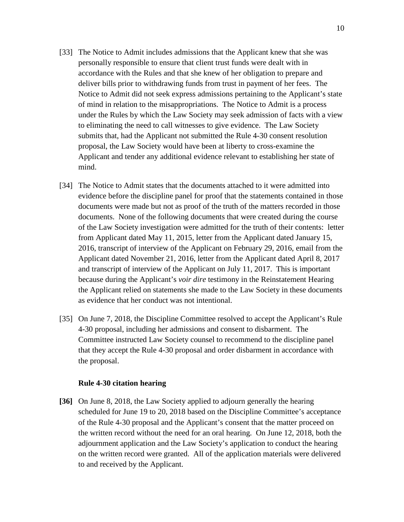- [33] The Notice to Admit includes admissions that the Applicant knew that she was personally responsible to ensure that client trust funds were dealt with in accordance with the Rules and that she knew of her obligation to prepare and deliver bills prior to withdrawing funds from trust in payment of her fees. The Notice to Admit did not seek express admissions pertaining to the Applicant's state of mind in relation to the misappropriations. The Notice to Admit is a process under the Rules by which the Law Society may seek admission of facts with a view to eliminating the need to call witnesses to give evidence. The Law Society submits that, had the Applicant not submitted the Rule 4-30 consent resolution proposal, the Law Society would have been at liberty to cross-examine the Applicant and tender any additional evidence relevant to establishing her state of mind.
- [34] The Notice to Admit states that the documents attached to it were admitted into evidence before the discipline panel for proof that the statements contained in those documents were made but not as proof of the truth of the matters recorded in those documents. None of the following documents that were created during the course of the Law Society investigation were admitted for the truth of their contents: letter from Applicant dated May 11, 2015, letter from the Applicant dated January 15, 2016, transcript of interview of the Applicant on February 29, 2016, email from the Applicant dated November 21, 2016, letter from the Applicant dated April 8, 2017 and transcript of interview of the Applicant on July 11, 2017. This is important because during the Applicant's *voir dire* testimony in the Reinstatement Hearing the Applicant relied on statements she made to the Law Society in these documents as evidence that her conduct was not intentional.
- [35] On June 7, 2018, the Discipline Committee resolved to accept the Applicant's Rule 4-30 proposal, including her admissions and consent to disbarment. The Committee instructed Law Society counsel to recommend to the discipline panel that they accept the Rule 4-30 proposal and order disbarment in accordance with the proposal.

#### **Rule 4-30 citation hearing**

**[36]** On June 8, 2018, the Law Society applied to adjourn generally the hearing scheduled for June 19 to 20, 2018 based on the Discipline Committee's acceptance of the Rule 4-30 proposal and the Applicant's consent that the matter proceed on the written record without the need for an oral hearing. On June 12, 2018, both the adjournment application and the Law Society's application to conduct the hearing on the written record were granted. All of the application materials were delivered to and received by the Applicant.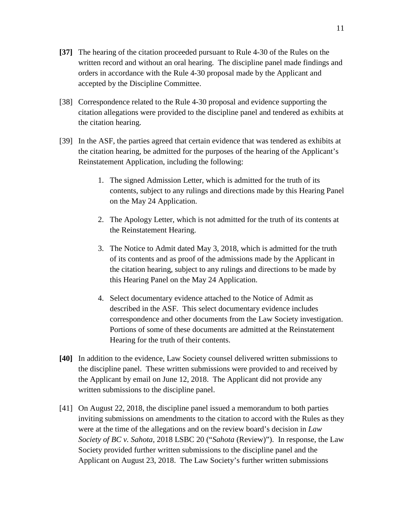- **[37]** The hearing of the citation proceeded pursuant to Rule 4-30 of the Rules on the written record and without an oral hearing. The discipline panel made findings and orders in accordance with the Rule 4-30 proposal made by the Applicant and accepted by the Discipline Committee.
- [38] Correspondence related to the Rule 4-30 proposal and evidence supporting the citation allegations were provided to the discipline panel and tendered as exhibits at the citation hearing.
- [39] In the ASF, the parties agreed that certain evidence that was tendered as exhibits at the citation hearing, be admitted for the purposes of the hearing of the Applicant's Reinstatement Application, including the following:
	- 1. The signed Admission Letter, which is admitted for the truth of its contents, subject to any rulings and directions made by this Hearing Panel on the May 24 Application.
	- 2. The Apology Letter, which is not admitted for the truth of its contents at the Reinstatement Hearing.
	- 3. The Notice to Admit dated May 3, 2018, which is admitted for the truth of its contents and as proof of the admissions made by the Applicant in the citation hearing, subject to any rulings and directions to be made by this Hearing Panel on the May 24 Application.
	- 4. Select documentary evidence attached to the Notice of Admit as described in the ASF. This select documentary evidence includes correspondence and other documents from the Law Society investigation. Portions of some of these documents are admitted at the Reinstatement Hearing for the truth of their contents.
- **[40]** In addition to the evidence, Law Society counsel delivered written submissions to the discipline panel. These written submissions were provided to and received by the Applicant by email on June 12, 2018. The Applicant did not provide any written submissions to the discipline panel.
- [41] On August 22, 2018, the discipline panel issued a memorandum to both parties inviting submissions on amendments to the citation to accord with the Rules as they were at the time of the allegations and on the review board's decision in *Law Society of BC v. Sahota,* 2018 LSBC 20 ("*Sahota* (Review)"). In response, the Law Society provided further written submissions to the discipline panel and the Applicant on August 23, 2018. The Law Society's further written submissions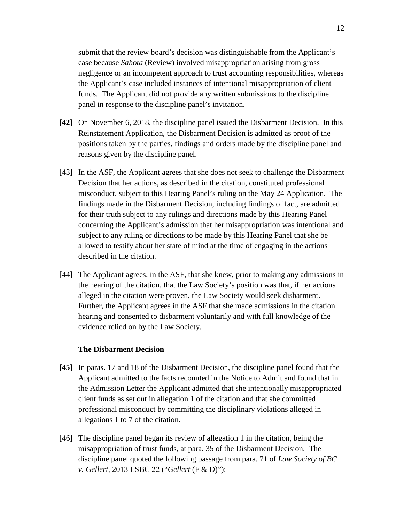submit that the review board's decision was distinguishable from the Applicant's case because *Sahota* (Review) involved misappropriation arising from gross negligence or an incompetent approach to trust accounting responsibilities, whereas the Applicant's case included instances of intentional misappropriation of client funds. The Applicant did not provide any written submissions to the discipline panel in response to the discipline panel's invitation.

- **[42]** On November 6, 2018, the discipline panel issued the Disbarment Decision. In this Reinstatement Application, the Disbarment Decision is admitted as proof of the positions taken by the parties, findings and orders made by the discipline panel and reasons given by the discipline panel.
- [43] In the ASF, the Applicant agrees that she does not seek to challenge the Disbarment Decision that her actions, as described in the citation, constituted professional misconduct, subject to this Hearing Panel's ruling on the May 24 Application. The findings made in the Disbarment Decision, including findings of fact, are admitted for their truth subject to any rulings and directions made by this Hearing Panel concerning the Applicant's admission that her misappropriation was intentional and subject to any ruling or directions to be made by this Hearing Panel that she be allowed to testify about her state of mind at the time of engaging in the actions described in the citation.
- [44] The Applicant agrees, in the ASF, that she knew, prior to making any admissions in the hearing of the citation, that the Law Society's position was that, if her actions alleged in the citation were proven, the Law Society would seek disbarment. Further, the Applicant agrees in the ASF that she made admissions in the citation hearing and consented to disbarment voluntarily and with full knowledge of the evidence relied on by the Law Society.

### **The Disbarment Decision**

- **[45]** In paras. 17 and 18 of the Disbarment Decision, the discipline panel found that the Applicant admitted to the facts recounted in the Notice to Admit and found that in the Admission Letter the Applicant admitted that she intentionally misappropriated client funds as set out in allegation 1 of the citation and that she committed professional misconduct by committing the disciplinary violations alleged in allegations 1 to 7 of the citation.
- [46] The discipline panel began its review of allegation 1 in the citation, being the misappropriation of trust funds, at para. 35 of the Disbarment Decision. The discipline panel quoted the following passage from para. 71 of *Law Society of BC v. Gellert,* 2013 LSBC 22 ("*Gellert* (F & D)"):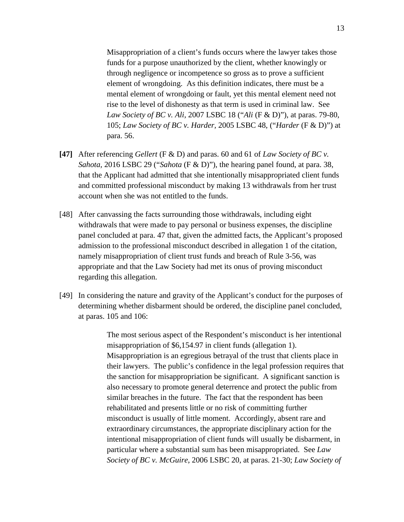Misappropriation of a client's funds occurs where the lawyer takes those funds for a purpose unauthorized by the client, whether knowingly or through negligence or incompetence so gross as to prove a sufficient element of wrongdoing. As this definition indicates, there must be a mental element of wrongdoing or fault, yet this mental element need not rise to the level of dishonesty as that term is used in criminal law. See *Law Society of BC v. Ali,* 2007 LSBC 18 ("*Ali* (F & D)"), at paras. 79-80, 105; *Law Society of BC v. Harder,* 2005 LSBC 48, ("*Harder* (F & D)") at para. 56.

- **[47]** After referencing *Gellert* (F & D) and paras. 60 and 61 of *Law Society of BC v. Sahota,* 2016 LSBC 29 ("*Sahota* (F & D)"), the hearing panel found, at para. 38, that the Applicant had admitted that she intentionally misappropriated client funds and committed professional misconduct by making 13 withdrawals from her trust account when she was not entitled to the funds.
- [48] After canvassing the facts surrounding those withdrawals, including eight withdrawals that were made to pay personal or business expenses, the discipline panel concluded at para. 47 that, given the admitted facts, the Applicant's proposed admission to the professional misconduct described in allegation 1 of the citation, namely misappropriation of client trust funds and breach of Rule 3-56, was appropriate and that the Law Society had met its onus of proving misconduct regarding this allegation.
- [49] In considering the nature and gravity of the Applicant's conduct for the purposes of determining whether disbarment should be ordered, the discipline panel concluded, at paras. 105 and 106:

 The most serious aspect of the Respondent's misconduct is her intentional misappropriation of \$6,154.97 in client funds (allegation 1). Misappropriation is an egregious betrayal of the trust that clients place in their lawyers. The public's confidence in the legal profession requires that the sanction for misappropriation be significant. A significant sanction is also necessary to promote general deterrence and protect the public from similar breaches in the future. The fact that the respondent has been rehabilitated and presents little or no risk of committing further misconduct is usually of little moment. Accordingly, absent rare and extraordinary circumstances, the appropriate disciplinary action for the intentional misappropriation of client funds will usually be disbarment, in particular where a substantial sum has been misappropriated. See *Law Society of BC v. McGuire*, 2006 LSBC 20, at paras. 21-30; *Law Society of*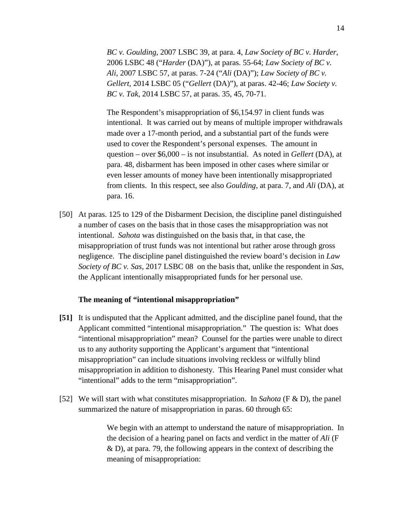*BC v. Goulding*, 2007 LSBC 39, at para. 4, *Law Society of BC v. Harder*, 2006 LSBC 48 ("*Harder* (DA)"), at paras. 55-64; *Law Society of BC v. Ali*, 2007 LSBC 57, at paras. 7-24 ("*Ali* (DA)"); *Law Society of BC v. Gellert*, 2014 LSBC 05 ("*Gellert* (DA)"), at paras. 42-46; *Law Society v. BC v. Tak*, 2014 LSBC 57, at paras. 35, 45, 70-71.

The Respondent's misappropriation of \$6,154.97 in client funds was intentional. It was carried out by means of multiple improper withdrawals made over a 17-month period, and a substantial part of the funds were used to cover the Respondent's personal expenses. The amount in question – over \$6,000 – is not insubstantial. As noted in *Gellert* (DA), at para. 48, disbarment has been imposed in other cases where similar or even lesser amounts of money have been intentionally misappropriated from clients. In this respect, see also *Goulding*, at para. 7, and *Ali* (DA), at para. 16.

[50] At paras. 125 to 129 of the Disbarment Decision, the discipline panel distinguished a number of cases on the basis that in those cases the misappropriation was not intentional. *Sahota* was distinguished on the basis that, in that case, the misappropriation of trust funds was not intentional but rather arose through gross negligence. The discipline panel distinguished the review board's decision in *Law Society of BC v. Sas,* 2017 LSBC 08 on the basis that, unlike the respondent in *Sas*, the Applicant intentionally misappropriated funds for her personal use.

#### **The meaning of "intentional misappropriation"**

- **[51]** It is undisputed that the Applicant admitted, and the discipline panel found, that the Applicant committed "intentional misappropriation." The question is: What does "intentional misappropriation" mean? Counsel for the parties were unable to direct us to any authority supporting the Applicant's argument that "intentional misappropriation" can include situations involving reckless or wilfully blind misappropriation in addition to dishonesty. This Hearing Panel must consider what "intentional" adds to the term "misappropriation".
- [52] We will start with what constitutes misappropriation. In *Sahota* (F & D), the panel summarized the nature of misappropriation in paras. 60 through 65:

We begin with an attempt to understand the nature of misappropriation. In the decision of a hearing panel on facts and verdict in the matter of *Ali* (F & D), at para. 79, the following appears in the context of describing the meaning of misappropriation: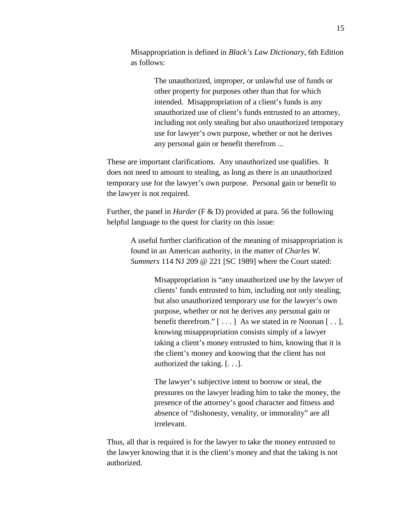Misappropriation is defined in *Black's Law Dictionary*, 6th Edition as follows:

> The unauthorized, improper, or unlawful use of funds or other property for purposes other than that for which intended. Misappropriation of a client's funds is any unauthorized use of client's funds entrusted to an attorney, including not only stealing but also unauthorized temporary use for lawyer's own purpose, whether or not he derives any personal gain or benefit therefrom ...

These are important clarifications. Any unauthorized use qualifies. It does not need to amount to stealing, as long as there is an unauthorized temporary use for the lawyer's own purpose. Personal gain or benefit to the lawyer is not required.

Further, the panel in *Harder* (F & D) provided at para. 56 the following helpful language to the quest for clarity on this issue:

> A useful further clarification of the meaning of misappropriation is found in an American authority, in the matter of *Charles W. Summers* 114 NJ 209 @ 221 [SC 1989] where the Court stated:

> > Misappropriation is "any unauthorized use by the lawyer of clients' funds entrusted to him, including not only stealing, but also unauthorized temporary use for the lawyer's own purpose, whether or not he derives any personal gain or benefit therefrom."  $[\ldots]$  As we stated in re Noonan  $[\ldots]$ , knowing misappropriation consists simply of a lawyer taking a client's money entrusted to him, knowing that it is the client's money and knowing that the client has not authorized the taking. [. . .].

The lawyer's subjective intent to borrow or steal, the pressures on the lawyer leading him to take the money, the presence of the attorney's good character and fitness and absence of "dishonesty, venality, or immorality" are all irrelevant.

Thus, all that is required is for the lawyer to take the money entrusted to the lawyer knowing that it is the client's money and that the taking is not authorized.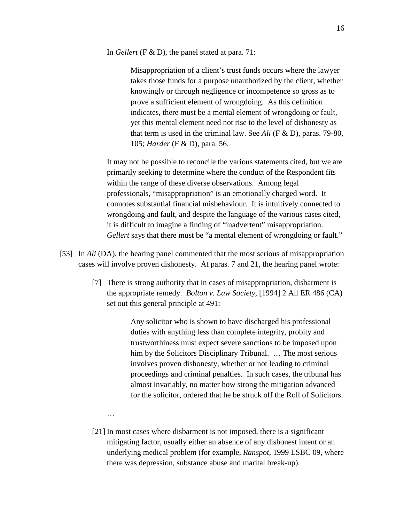In *Gellert* (F & D), the panel stated at para. 71:

Misappropriation of a client's trust funds occurs where the lawyer takes those funds for a purpose unauthorized by the client, whether knowingly or through negligence or incompetence so gross as to prove a sufficient element of wrongdoing. As this definition indicates, there must be a mental element of wrongdoing or fault, yet this mental element need not rise to the level of dishonesty as that term is used in the criminal law. See *Ali* (F & D), paras. 79-80, 105; *Harder* (F & D), para. 56.

It may not be possible to reconcile the various statements cited, but we are primarily seeking to determine where the conduct of the Respondent fits within the range of these diverse observations. Among legal professionals, "misappropriation" is an emotionally charged word. It connotes substantial financial misbehaviour. It is intuitively connected to wrongdoing and fault, and despite the language of the various cases cited, it is difficult to imagine a finding of "inadvertent" misappropriation. *Gellert* says that there must be "a mental element of wrongdoing or fault."

- [53] In *Ali* (DA), the hearing panel commented that the most serious of misappropriation cases will involve proven dishonesty. At paras. 7 and 21, the hearing panel wrote:
	- [7] There is strong authority that in cases of misappropriation, disbarment is the appropriate remedy. *Bolton v. Law Society*, [1994] 2 All ER 486 (CA) set out this general principle at 491:

Any solicitor who is shown to have discharged his professional duties with anything less than complete integrity, probity and trustworthiness must expect severe sanctions to be imposed upon him by the Solicitors Disciplinary Tribunal. ... The most serious involves proven dishonesty, whether or not leading to criminal proceedings and criminal penalties. In such cases, the tribunal has almost invariably, no matter how strong the mitigation advanced for the solicitor, ordered that he be struck off the Roll of Solicitors.

…

[21] In most cases where disbarment is not imposed, there is a significant mitigating factor, usually either an absence of any dishonest intent or an underlying medical problem (for example, *Ranspot*, 1999 LSBC 09, where there was depression, substance abuse and marital break-up).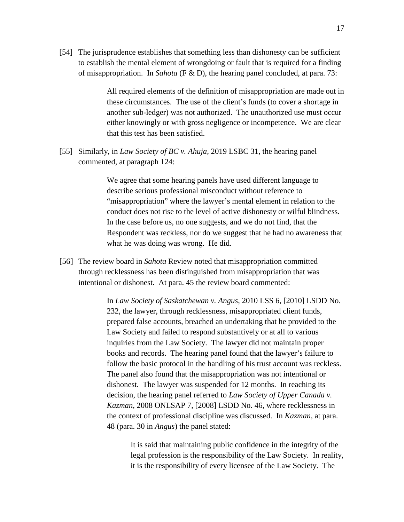[54] The jurisprudence establishes that something less than dishonesty can be sufficient to establish the mental element of wrongdoing or fault that is required for a finding of misappropriation. In *Sahota* (F & D), the hearing panel concluded, at para. 73:

> All required elements of the definition of misappropriation are made out in these circumstances. The use of the client's funds (to cover a shortage in another sub-ledger) was not authorized. The unauthorized use must occur either knowingly or with gross negligence or incompetence. We are clear that this test has been satisfied.

[55] Similarly, in *Law Society of BC v. Ahuja,* 2019 LSBC 31, the hearing panel commented, at paragraph 124:

> We agree that some hearing panels have used different language to describe serious professional misconduct without reference to "misappropriation" where the lawyer's mental element in relation to the conduct does not rise to the level of active dishonesty or wilful blindness. In the case before us, no one suggests, and we do not find, that the Respondent was reckless, nor do we suggest that he had no awareness that what he was doing was wrong. He did.

[56] The review board in *Sahota* Review noted that misappropriation committed through recklessness has been distinguished from misappropriation that was intentional or dishonest. At para. 45 the review board commented:

> In *Law Society of Saskatchewan v. Angus*, 2010 LSS 6, [2010] LSDD No. 232, the lawyer, through recklessness, misappropriated client funds, prepared false accounts, breached an undertaking that he provided to the Law Society and failed to respond substantively or at all to various inquiries from the Law Society. The lawyer did not maintain proper books and records. The hearing panel found that the lawyer's failure to follow the basic protocol in the handling of his trust account was reckless. The panel also found that the misappropriation was not intentional or dishonest. The lawyer was suspended for 12 months. In reaching its decision, the hearing panel referred to *Law Society of Upper Canada v. Kazman*, 2008 ONLSAP 7, [2008] LSDD No. 46, where recklessness in the context of professional discipline was discussed. In *Kazman*, at para. 48 (para. 30 in *Angus*) the panel stated:

It is said that maintaining public confidence in the integrity of the legal profession is the responsibility of the Law Society. In reality, it is the responsibility of every licensee of the Law Society. The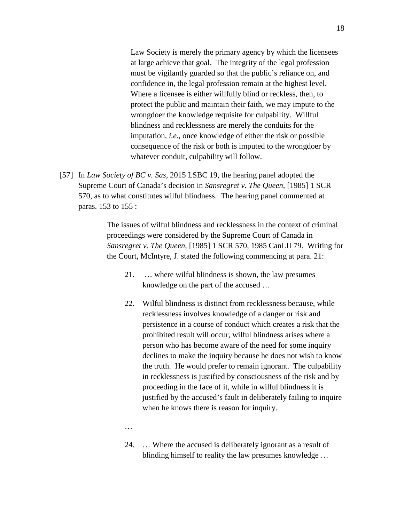Law Society is merely the primary agency by which the licensees at large achieve that goal. The integrity of the legal profession must be vigilantly guarded so that the public's reliance on, and confidence in, the legal profession remain at the highest level. Where a licensee is either willfully blind or reckless, then, to protect the public and maintain their faith, we may impute to the wrongdoer the knowledge requisite for culpability. Willful blindness and recklessness are merely the conduits for the imputation, *i.e*., once knowledge of either the risk or possible consequence of the risk or both is imputed to the wrongdoer by whatever conduit, culpability will follow.

[57] In *Law Society of BC v. Sas,* 2015 LSBC 19*,* the hearing panel adopted the Supreme Court of Canada's decision in *Sansregret v. The Queen,* [1985] 1 SCR 570, as to what constitutes wilful blindness. The hearing panel commented at paras. 153 to 155 :

> The issues of wilful blindness and recklessness in the context of criminal proceedings were considered by the Supreme Court of Canada in *Sansregret v. The Queen*, [1985] 1 SCR 570, 1985 CanLII 79. Writing for the Court, McIntyre, J. stated the following commencing at para. 21:

- 21. … where wilful blindness is shown, the law presumes knowledge on the part of the accused …
- 22. Wilful blindness is distinct from recklessness because, while recklessness involves knowledge of a danger or risk and persistence in a course of conduct which creates a risk that the prohibited result will occur, wilful blindness arises where a person who has become aware of the need for some inquiry declines to make the inquiry because he does not wish to know the truth. He would prefer to remain ignorant. The culpability in recklessness is justified by consciousness of the risk and by proceeding in the face of it, while in wilful blindness it is justified by the accused's fault in deliberately failing to inquire when he knows there is reason for inquiry.
- …
- 24. … Where the accused is deliberately ignorant as a result of blinding himself to reality the law presumes knowledge …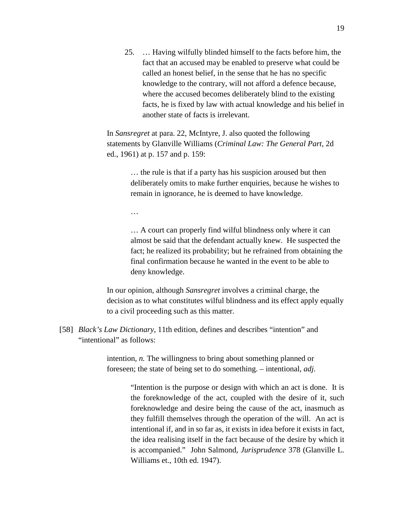25. … Having wilfully blinded himself to the facts before him, the fact that an accused may be enabled to preserve what could be called an honest belief, in the sense that he has no specific knowledge to the contrary, will not afford a defence because, where the accused becomes deliberately blind to the existing facts, he is fixed by law with actual knowledge and his belief in another state of facts is irrelevant.

In *Sansregret* at para. 22, McIntyre, J. also quoted the following statements by Glanville Williams (*Criminal Law: The General Part*, 2d ed., 1961) at p. 157 and p. 159:

> … the rule is that if a party has his suspicion aroused but then deliberately omits to make further enquiries, because he wishes to remain in ignorance, he is deemed to have knowledge.

…

… A court can properly find wilful blindness only where it can almost be said that the defendant actually knew. He suspected the fact; he realized its probability; but he refrained from obtaining the final confirmation because he wanted in the event to be able to deny knowledge.

 In our opinion, although *Sansregret* involves a criminal charge, the decision as to what constitutes wilful blindness and its effect apply equally to a civil proceeding such as this matter.

[58] *Black's Law Dictionary*, 11th edition, defines and describes "intention" and "intentional" as follows:

> intention, *n.* The willingness to bring about something planned or foreseen; the state of being set to do something. – intentional, *adj.*

> > "Intention is the purpose or design with which an act is done. It is the foreknowledge of the act, coupled with the desire of it, such foreknowledge and desire being the cause of the act, inasmuch as they fulfill themselves through the operation of the will. An act is intentional if, and in so far as, it exists in idea before it exists in fact, the idea realising itself in the fact because of the desire by which it is accompanied." John Salmond, *Jurisprudence* 378 (Glanville L. Williams et., 10th ed. 1947).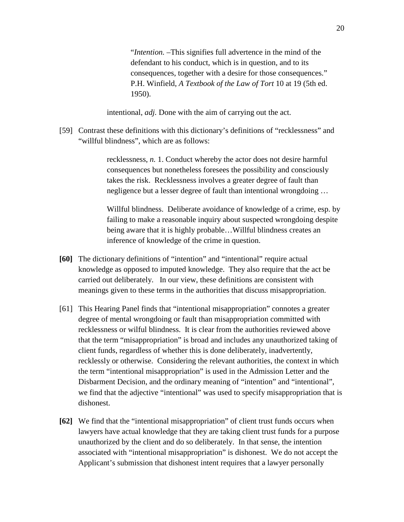"*Intention.* –This signifies full advertence in the mind of the defendant to his conduct, which is in question, and to its consequences, together with a desire for those consequences." P.H. Winfield, *A Textbook of the Law of Tort* 10 at 19 (5th ed. 1950).

intentional, *adj.* Done with the aim of carrying out the act.

[59] Contrast these definitions with this dictionary's definitions of "recklessness" and "willful blindness", which are as follows:

> recklessness, *n.* 1. Conduct whereby the actor does not desire harmful consequences but nonetheless foresees the possibility and consciously takes the risk. Recklessness involves a greater degree of fault than negligence but a lesser degree of fault than intentional wrongdoing …

Willful blindness. Deliberate avoidance of knowledge of a crime, esp. by failing to make a reasonable inquiry about suspected wrongdoing despite being aware that it is highly probable…Willful blindness creates an inference of knowledge of the crime in question.

- **[60]** The dictionary definitions of "intention" and "intentional" require actual knowledge as opposed to imputed knowledge. They also require that the act be carried out deliberately. In our view, these definitions are consistent with meanings given to these terms in the authorities that discuss misappropriation.
- [61] This Hearing Panel finds that "intentional misappropriation" connotes a greater degree of mental wrongdoing or fault than misappropriation committed with recklessness or wilful blindness. It is clear from the authorities reviewed above that the term "misappropriation" is broad and includes any unauthorized taking of client funds, regardless of whether this is done deliberately, inadvertently, recklessly or otherwise. Considering the relevant authorities, the context in which the term "intentional misappropriation" is used in the Admission Letter and the Disbarment Decision, and the ordinary meaning of "intention" and "intentional", we find that the adjective "intentional" was used to specify misappropriation that is dishonest.
- **[62]** We find that the "intentional misappropriation" of client trust funds occurs when lawyers have actual knowledge that they are taking client trust funds for a purpose unauthorized by the client and do so deliberately. In that sense, the intention associated with "intentional misappropriation" is dishonest. We do not accept the Applicant's submission that dishonest intent requires that a lawyer personally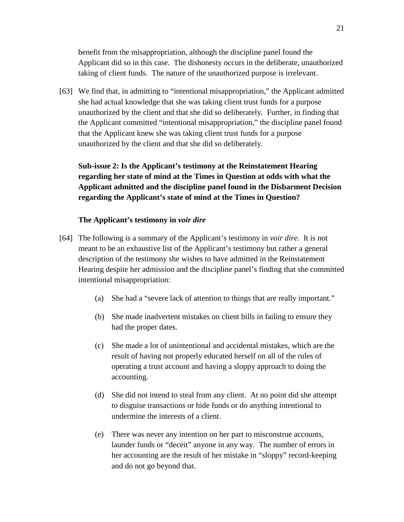benefit from the misappropriation, although the discipline panel found the Applicant did so in this case. The dishonesty occurs in the deliberate, unauthorized taking of client funds. The nature of the unauthorized purpose is irrelevant.

[63] We find that, in admitting to "intentional misappropriation," the Applicant admitted she had actual knowledge that she was taking client trust funds for a purpose unauthorized by the client and that she did so deliberately. Further, in finding that the Applicant committed "intentional misappropriation," the discipline panel found that the Applicant knew she was taking client trust funds for a purpose unauthorized by the client and that she did so deliberately.

**Sub-issue 2: Is the Applicant's testimony at the Reinstatement Hearing regarding her state of mind at the Times in Question at odds with what the Applicant admitted and the discipline panel found in the Disbarment Decision regarding the Applicant's state of mind at the Times in Question?**

### **The Applicant's testimony in** *voir dire*

- [64] The following is a summary of the Applicant's testimony in *voir dire.* It is not meant to be an exhaustive list of the Applicant's testimony but rather a general description of the testimony she wishes to have admitted in the Reinstatement Hearing despite her admission and the discipline panel's finding that she committed intentional misappropriation:
	- (a) She had a "severe lack of attention to things that are really important."
	- (b) She made inadvertent mistakes on client bills in failing to ensure they had the proper dates.
	- (c) She made a lot of unintentional and accidental mistakes, which are the result of having not properly educated herself on all of the rules of operating a trust account and having a sloppy approach to doing the accounting.
	- (d) She did not intend to steal from any client. At no point did she attempt to disguise transactions or hide funds or do anything intentional to undermine the interests of a client.
	- (e) There was never any intention on her part to misconstrue accounts, launder funds or "deceit" anyone in any way. The number of errors in her accounting are the result of her mistake in "sloppy" record-keeping and do not go beyond that.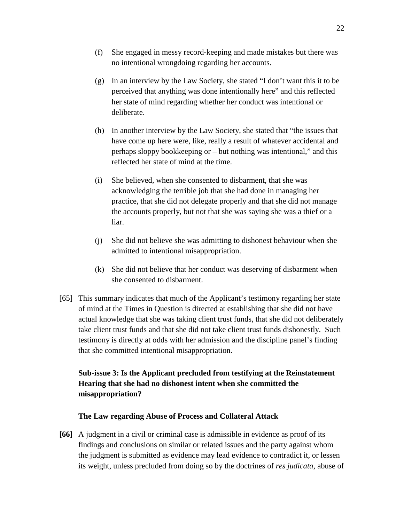- (f) She engaged in messy record-keeping and made mistakes but there was no intentional wrongdoing regarding her accounts.
- (g) In an interview by the Law Society, she stated "I don't want this it to be perceived that anything was done intentionally here" and this reflected her state of mind regarding whether her conduct was intentional or deliberate.
- (h) In another interview by the Law Society, she stated that "the issues that have come up here were, like, really a result of whatever accidental and perhaps sloppy bookkeeping or – but nothing was intentional," and this reflected her state of mind at the time.
- (i) She believed, when she consented to disbarment, that she was acknowledging the terrible job that she had done in managing her practice, that she did not delegate properly and that she did not manage the accounts properly, but not that she was saying she was a thief or a liar.
- (j) She did not believe she was admitting to dishonest behaviour when she admitted to intentional misappropriation.
- (k) She did not believe that her conduct was deserving of disbarment when she consented to disbarment.
- [65] This summary indicates that much of the Applicant's testimony regarding her state of mind at the Times in Question is directed at establishing that she did not have actual knowledge that she was taking client trust funds, that she did not deliberately take client trust funds and that she did not take client trust funds dishonestly. Such testimony is directly at odds with her admission and the discipline panel's finding that she committed intentional misappropriation.

# **Sub-issue 3: Is the Applicant precluded from testifying at the Reinstatement Hearing that she had no dishonest intent when she committed the misappropriation?**

## **The Law regarding Abuse of Process and Collateral Attack**

**[66]** A judgment in a civil or criminal case is admissible in evidence as proof of its findings and conclusions on similar or related issues and the party against whom the judgment is submitted as evidence may lead evidence to contradict it, or lessen its weight, unless precluded from doing so by the doctrines of *res judicata*, abuse of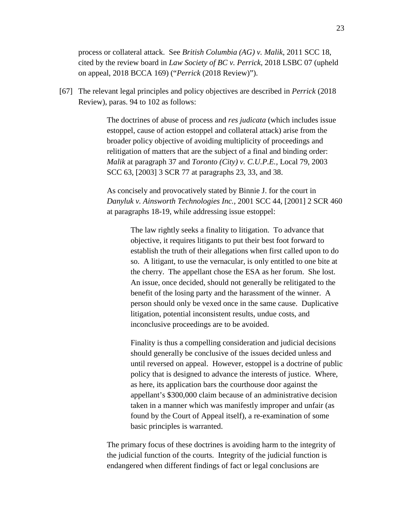process or collateral attack. See *British Columbia (AG) v. Malik,* 2011 SCC 18, cited by the review board in *Law Society of BC v. Perrick,* 2018 LSBC 07 (upheld on appeal, 2018 BCCA 169) ("*Perrick* (2018 Review)").

[67] The relevant legal principles and policy objectives are described in *Perrick* (2018 Review), paras. 94 to 102 as follows:

> The doctrines of abuse of process and *res judicata* (which includes issue estoppel, cause of action estoppel and collateral attack) arise from the broader policy objective of avoiding multiplicity of proceedings and relitigation of matters that are the subject of a final and binding order: *Malik* at paragraph 37 and *Toronto (City) v. C.U.P.E.,* Local 79, 2003 SCC 63, [2003] 3 SCR 77 at paragraphs 23, 33, and 38.

As concisely and provocatively stated by Binnie J. for the court in *Danyluk v. Ainsworth Technologies Inc.,* 2001 SCC 44, [2001] 2 SCR 460 at paragraphs 18-19, while addressing issue estoppel:

The law rightly seeks a finality to litigation. To advance that objective, it requires litigants to put their best foot forward to establish the truth of their allegations when first called upon to do so. A litigant, to use the vernacular, is only entitled to one bite at the cherry. The appellant chose the ESA as her forum. She lost. An issue, once decided, should not generally be relitigated to the benefit of the losing party and the harassment of the winner. A person should only be vexed once in the same cause. Duplicative litigation, potential inconsistent results, undue costs, and inconclusive proceedings are to be avoided.

Finality is thus a compelling consideration and judicial decisions should generally be conclusive of the issues decided unless and until reversed on appeal. However, estoppel is a doctrine of public policy that is designed to advance the interests of justice. Where, as here, its application bars the courthouse door against the appellant's \$300,000 claim because of an administrative decision taken in a manner which was manifestly improper and unfair (as found by the Court of Appeal itself), a re-examination of some basic principles is warranted.

The primary focus of these doctrines is avoiding harm to the integrity of the judicial function of the courts. Integrity of the judicial function is endangered when different findings of fact or legal conclusions are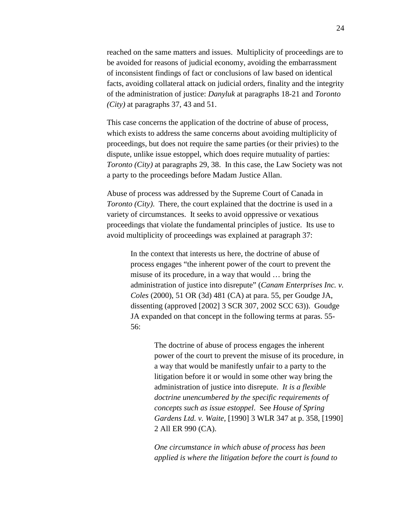reached on the same matters and issues. Multiplicity of proceedings are to be avoided for reasons of judicial economy, avoiding the embarrassment of inconsistent findings of fact or conclusions of law based on identical facts, avoiding collateral attack on judicial orders, finality and the integrity of the administration of justice: *Danyluk* at paragraphs 18-21 and *Toronto (City)* at paragraphs 37, 43 and 51.

This case concerns the application of the doctrine of abuse of process, which exists to address the same concerns about avoiding multiplicity of proceedings, but does not require the same parties (or their privies) to the dispute, unlike issue estoppel, which does require mutuality of parties: *Toronto (City)* at paragraphs 29, 38. In this case, the Law Society was not a party to the proceedings before Madam Justice Allan.

Abuse of process was addressed by the Supreme Court of Canada in *Toronto (City)*. There, the court explained that the doctrine is used in a variety of circumstances. It seeks to avoid oppressive or vexatious proceedings that violate the fundamental principles of justice. Its use to avoid multiplicity of proceedings was explained at paragraph 37:

> In the context that interests us here, the doctrine of abuse of process engages "the inherent power of the court to prevent the misuse of its procedure, in a way that would … bring the administration of justice into disrepute" (*Canam Enterprises Inc. v. Coles* (2000), 51 OR (3d) 481 (CA) at para. 55, per Goudge JA, dissenting (approved [2002] 3 SCR 307, 2002 SCC 63)). Goudge JA expanded on that concept in the following terms at paras. 55- 56:

> > The doctrine of abuse of process engages the inherent power of the court to prevent the misuse of its procedure, in a way that would be manifestly unfair to a party to the litigation before it or would in some other way bring the administration of justice into disrepute. *It is a flexible doctrine unencumbered by the specific requirements of concepts such as issue estoppel*. See *House of Spring Gardens Ltd. v. Waite*, [1990] 3 WLR 347 at p. 358, [1990] 2 All ER 990 (CA).

*One circumstance in which abuse of process has been applied is where the litigation before the court is found to*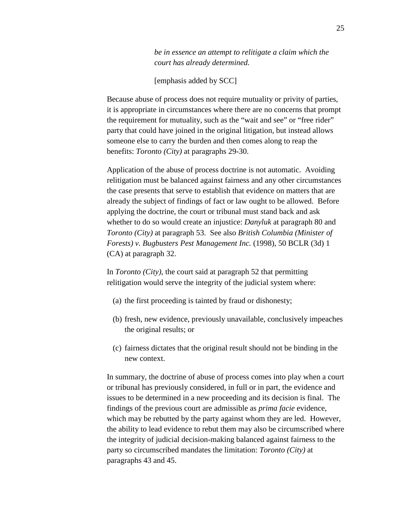*be in essence an attempt to relitigate a claim which the court has already determined.* 

[emphasis added by SCC]

Because abuse of process does not require mutuality or privity of parties, it is appropriate in circumstances where there are no concerns that prompt the requirement for mutuality, such as the "wait and see" or "free rider" party that could have joined in the original litigation, but instead allows someone else to carry the burden and then comes along to reap the benefits: *Toronto (City)* at paragraphs 29-30.

Application of the abuse of process doctrine is not automatic. Avoiding relitigation must be balanced against fairness and any other circumstances the case presents that serve to establish that evidence on matters that are already the subject of findings of fact or law ought to be allowed. Before applying the doctrine, the court or tribunal must stand back and ask whether to do so would create an injustice: *Danyluk* at paragraph 80 and *Toronto (City)* at paragraph 53. See also *British Columbia (Minister of Forests) v. Bugbusters Pest Management Inc.* (1998), 50 BCLR (3d) 1 (CA) at paragraph 32.

In *Toronto (City)*, the court said at paragraph 52 that permitting relitigation would serve the integrity of the judicial system where:

- (a) the first proceeding is tainted by fraud or dishonesty;
- (b) fresh, new evidence, previously unavailable, conclusively impeaches the original results; or
- (c) fairness dictates that the original result should not be binding in the new context.

In summary, the doctrine of abuse of process comes into play when a court or tribunal has previously considered, in full or in part, the evidence and issues to be determined in a new proceeding and its decision is final. The findings of the previous court are admissible as *prima facie* evidence, which may be rebutted by the party against whom they are led. However, the ability to lead evidence to rebut them may also be circumscribed where the integrity of judicial decision-making balanced against fairness to the party so circumscribed mandates the limitation: *Toronto (City)* at paragraphs 43 and 45.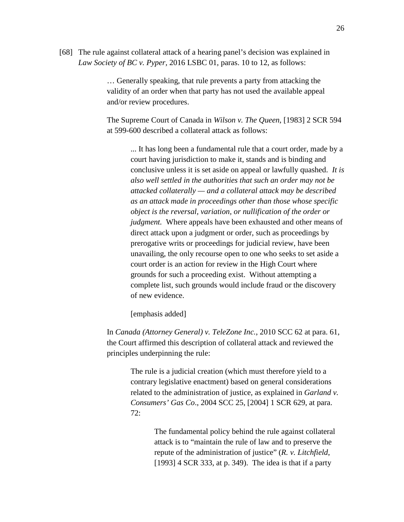[68] The rule against collateral attack of a hearing panel's decision was explained in *Law Society of BC v. Pyper,* 2016 LSBC 01, paras. 10 to 12, as follows:

> … Generally speaking, that rule prevents a party from attacking the validity of an order when that party has not used the available appeal and/or review procedures.

The Supreme Court of Canada in *Wilson v. The Queen*, [1983] 2 SCR 594 at 599-600 described a collateral attack as follows:

> ... It has long been a fundamental rule that a court order, made by a court having jurisdiction to make it, stands and is binding and conclusive unless it is set aside on appeal or lawfully quashed. *It is also well settled in the authorities that such an order may not be attacked collaterally — and a collateral attack may be described as an attack made in proceedings other than those whose specific object is the reversal, variation, or nullification of the order or judgment.* Where appeals have been exhausted and other means of direct attack upon a judgment or order, such as proceedings by prerogative writs or proceedings for judicial review, have been unavailing, the only recourse open to one who seeks to set aside a court order is an action for review in the High Court where grounds for such a proceeding exist. Without attempting a complete list, such grounds would include fraud or the discovery of new evidence.

[emphasis added]

In *Canada (Attorney General) v. TeleZone Inc.*, 2010 SCC 62 at para. 61, the Court affirmed this description of collateral attack and reviewed the principles underpinning the rule:

> The rule is a judicial creation (which must therefore yield to a contrary legislative enactment) based on general considerations related to the administration of justice, as explained in *Garland v. Consumers' Gas Co*., 2004 SCC 25, [2004] 1 SCR 629, at para. 72:

> > The fundamental policy behind the rule against collateral attack is to "maintain the rule of law and to preserve the repute of the administration of justice" (*R. v. Litchfield*, [1993] 4 SCR 333, at p. 349). The idea is that if a party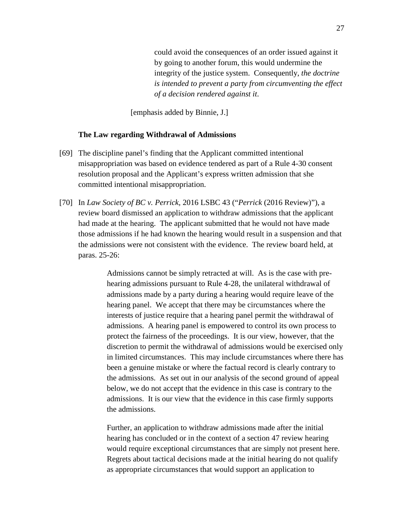could avoid the consequences of an order issued against it by going to another forum, this would undermine the integrity of the justice system. Consequently, *the doctrine is intended to prevent a party from circumventing the effect of a decision rendered against it*.

[emphasis added by Binnie, J.]

### **The Law regarding Withdrawal of Admissions**

- [69] The discipline panel's finding that the Applicant committed intentional misappropriation was based on evidence tendered as part of a Rule 4-30 consent resolution proposal and the Applicant's express written admission that she committed intentional misappropriation.
- [70] In *Law Society of BC v. Perrick,* 2016 LSBC 43 ("*Perrick* (2016 Review)"), a review board dismissed an application to withdraw admissions that the applicant had made at the hearing. The applicant submitted that he would not have made those admissions if he had known the hearing would result in a suspension and that the admissions were not consistent with the evidence. The review board held, at paras. 25-26:

Admissions cannot be simply retracted at will. As is the case with prehearing admissions pursuant to Rule 4-28, the unilateral withdrawal of admissions made by a party during a hearing would require leave of the hearing panel. We accept that there may be circumstances where the interests of justice require that a hearing panel permit the withdrawal of admissions. A hearing panel is empowered to control its own process to protect the fairness of the proceedings. It is our view, however, that the discretion to permit the withdrawal of admissions would be exercised only in limited circumstances. This may include circumstances where there has been a genuine mistake or where the factual record is clearly contrary to the admissions. As set out in our analysis of the second ground of appeal below, we do not accept that the evidence in this case is contrary to the admissions. It is our view that the evidence in this case firmly supports the admissions.

Further, an application to withdraw admissions made after the initial hearing has concluded or in the context of a section 47 review hearing would require exceptional circumstances that are simply not present here. Regrets about tactical decisions made at the initial hearing do not qualify as appropriate circumstances that would support an application to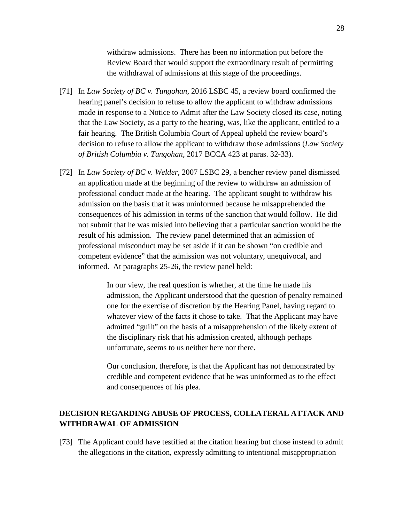withdraw admissions. There has been no information put before the Review Board that would support the extraordinary result of permitting the withdrawal of admissions at this stage of the proceedings.

- [71] In *Law Society of BC v. Tungohan,* 2016 LSBC 45, a review board confirmed the hearing panel's decision to refuse to allow the applicant to withdraw admissions made in response to a Notice to Admit after the Law Society closed its case, noting that the Law Society, as a party to the hearing, was, like the applicant, entitled to a fair hearing. The British Columbia Court of Appeal upheld the review board's decision to refuse to allow the applicant to withdraw those admissions (*Law Society of British Columbia v. Tungohan,* 2017 BCCA 423 at paras. 32-33).
- [72] In *Law Society of BC v. Welder,* 2007 LSBC 29, a bencher review panel dismissed an application made at the beginning of the review to withdraw an admission of professional conduct made at the hearing. The applicant sought to withdraw his admission on the basis that it was uninformed because he misapprehended the consequences of his admission in terms of the sanction that would follow. He did not submit that he was misled into believing that a particular sanction would be the result of his admission. The review panel determined that an admission of professional misconduct may be set aside if it can be shown "on credible and competent evidence" that the admission was not voluntary, unequivocal, and informed. At paragraphs 25-26, the review panel held:

In our view, the real question is whether, at the time he made his admission, the Applicant understood that the question of penalty remained one for the exercise of discretion by the Hearing Panel, having regard to whatever view of the facts it chose to take. That the Applicant may have admitted "guilt" on the basis of a misapprehension of the likely extent of the disciplinary risk that his admission created, although perhaps unfortunate, seems to us neither here nor there.

Our conclusion, therefore, is that the Applicant has not demonstrated by credible and competent evidence that he was uninformed as to the effect and consequences of his plea.

# **DECISION REGARDING ABUSE OF PROCESS, COLLATERAL ATTACK AND WITHDRAWAL OF ADMISSION**

[73] The Applicant could have testified at the citation hearing but chose instead to admit the allegations in the citation, expressly admitting to intentional misappropriation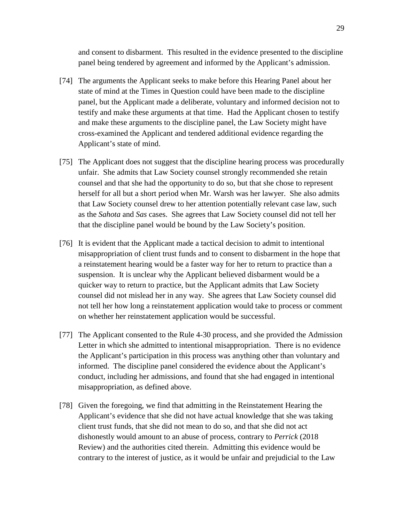and consent to disbarment. This resulted in the evidence presented to the discipline panel being tendered by agreement and informed by the Applicant's admission.

- [74] The arguments the Applicant seeks to make before this Hearing Panel about her state of mind at the Times in Question could have been made to the discipline panel, but the Applicant made a deliberate, voluntary and informed decision not to testify and make these arguments at that time. Had the Applicant chosen to testify and make these arguments to the discipline panel, the Law Society might have cross-examined the Applicant and tendered additional evidence regarding the Applicant's state of mind.
- [75] The Applicant does not suggest that the discipline hearing process was procedurally unfair. She admits that Law Society counsel strongly recommended she retain counsel and that she had the opportunity to do so, but that she chose to represent herself for all but a short period when Mr. Warsh was her lawyer. She also admits that Law Society counsel drew to her attention potentially relevant case law, such as the *Sahota* and *Sas* cases. She agrees that Law Society counsel did not tell her that the discipline panel would be bound by the Law Society's position.
- [76] It is evident that the Applicant made a tactical decision to admit to intentional misappropriation of client trust funds and to consent to disbarment in the hope that a reinstatement hearing would be a faster way for her to return to practice than a suspension. It is unclear why the Applicant believed disbarment would be a quicker way to return to practice, but the Applicant admits that Law Society counsel did not mislead her in any way. She agrees that Law Society counsel did not tell her how long a reinstatement application would take to process or comment on whether her reinstatement application would be successful.
- [77] The Applicant consented to the Rule 4-30 process, and she provided the Admission Letter in which she admitted to intentional misappropriation. There is no evidence the Applicant's participation in this process was anything other than voluntary and informed. The discipline panel considered the evidence about the Applicant's conduct, including her admissions, and found that she had engaged in intentional misappropriation, as defined above.
- [78] Given the foregoing, we find that admitting in the Reinstatement Hearing the Applicant's evidence that she did not have actual knowledge that she was taking client trust funds, that she did not mean to do so, and that she did not act dishonestly would amount to an abuse of process, contrary to *Perrick* (2018 Review) and the authorities cited therein. Admitting this evidence would be contrary to the interest of justice, as it would be unfair and prejudicial to the Law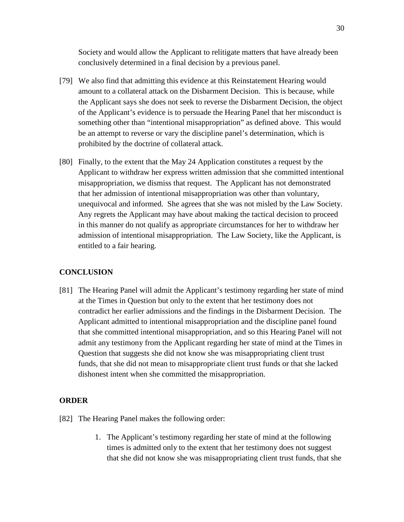Society and would allow the Applicant to relitigate matters that have already been conclusively determined in a final decision by a previous panel.

- [79] We also find that admitting this evidence at this Reinstatement Hearing would amount to a collateral attack on the Disbarment Decision. This is because, while the Applicant says she does not seek to reverse the Disbarment Decision, the object of the Applicant's evidence is to persuade the Hearing Panel that her misconduct is something other than "intentional misappropriation" as defined above. This would be an attempt to reverse or vary the discipline panel's determination, which is prohibited by the doctrine of collateral attack.
- [80] Finally, to the extent that the May 24 Application constitutes a request by the Applicant to withdraw her express written admission that she committed intentional misappropriation, we dismiss that request. The Applicant has not demonstrated that her admission of intentional misappropriation was other than voluntary, unequivocal and informed. She agrees that she was not misled by the Law Society. Any regrets the Applicant may have about making the tactical decision to proceed in this manner do not qualify as appropriate circumstances for her to withdraw her admission of intentional misappropriation. The Law Society, like the Applicant, is entitled to a fair hearing.

### **CONCLUSION**

[81] The Hearing Panel will admit the Applicant's testimony regarding her state of mind at the Times in Question but only to the extent that her testimony does not contradict her earlier admissions and the findings in the Disbarment Decision. The Applicant admitted to intentional misappropriation and the discipline panel found that she committed intentional misappropriation, and so this Hearing Panel will not admit any testimony from the Applicant regarding her state of mind at the Times in Question that suggests she did not know she was misappropriating client trust funds, that she did not mean to misappropriate client trust funds or that she lacked dishonest intent when she committed the misappropriation.

### **ORDER**

- [82] The Hearing Panel makes the following order:
	- 1. The Applicant's testimony regarding her state of mind at the following times is admitted only to the extent that her testimony does not suggest that she did not know she was misappropriating client trust funds, that she